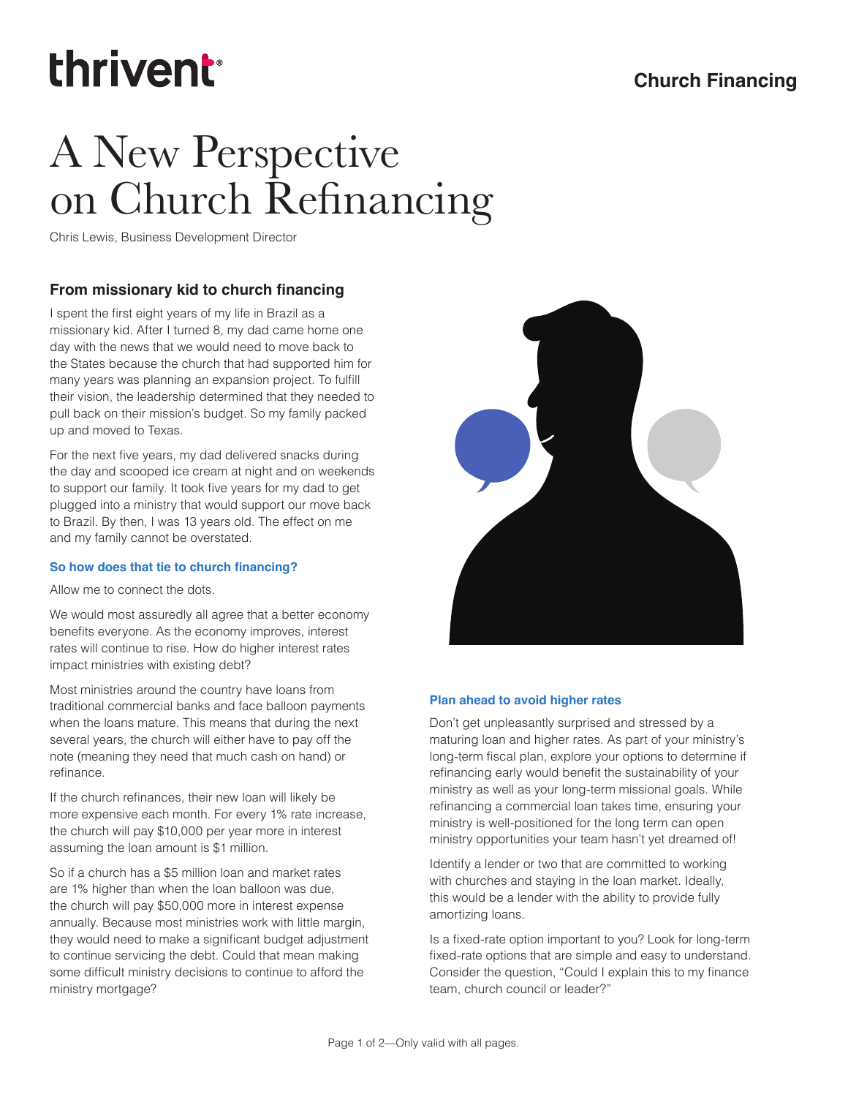# thrivent

### **Church Financing**

### A New Perspective on Church Refinancing

Chris Lewis, Business Development Director

#### **From missionary kid to church financing**

I spent the first eight years of my life in Brazil as a missionary kid. After I turned 8, my dad came home one day with the news that we would need to move back to the States because the church that had supported him for many years was planning an expansion project. To fulfill their vision, the leadership determined that they needed to pull back on their mission's budget. So my family packed up and moved to Texas.

For the next five years, my dad delivered snacks during the day and scooped ice cream at night and on weekends to support our family. It took five years for my dad to get plugged into a ministry that would support our move back to Brazil. By then, I was 13 years old. The effect on me and my family cannot be overstated.

#### **So how does that tie to church financing?**

Allow me to connect the dots.

We would most assuredly all agree that a better economy benefits everyone. As the economy improves, interest rates will continue to rise. How do higher interest rates impact ministries with existing debt?

Most ministries around the country have loans from traditional commercial banks and face balloon payments when the loans mature. This means that during the next several years, the church will either have to pay off the note (meaning they need that much cash on hand) or refinance.

If the church refinances, their new loan will likely be more expensive each month. For every 1% rate increase, the church will pay \$10,000 per year more in interest assuming the loan amount is \$1 million.

So if a church has a \$5 million loan and market rates are 1% higher than when the loan balloon was due, the church will pay \$50,000 more in interest expense annually. Because most ministries work with little margin, they would need to make a significant budget adjustment to continue servicing the debt. Could that mean making some difficult ministry decisions to continue to afford the ministry mortgage?



#### **Plan ahead to avoid higher rates**

Don't get unpleasantly surprised and stressed by a maturing loan and higher rates. As part of your ministry's long-term fiscal plan, explore your options to determine if refinancing early would benefit the sustainability of your ministry as well as your long-term missional goals. While refinancing a commercial loan takes time, ensuring your ministry is well-positioned for the long term can open ministry opportunities your team hasn't yet dreamed of!

Identify a lender or two that are committed to working with churches and staying in the loan market. Ideally, this would be a lender with the ability to provide fully amortizing loans.

Is a fixed-rate option important to you? Look for long-term fixed-rate options that are simple and easy to understand. Consider the question, "Could I explain this to my finance team, church council or leader?"